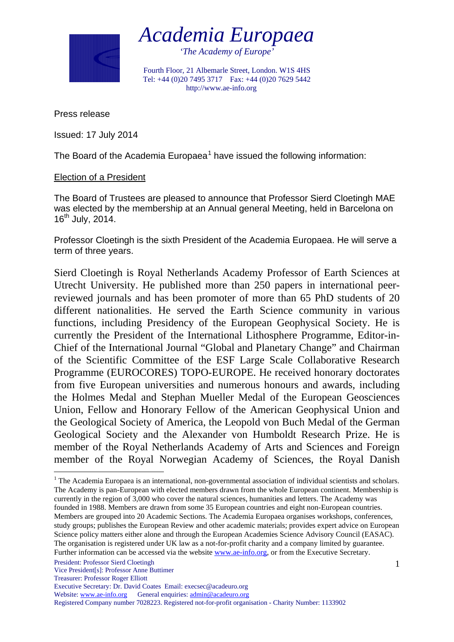

*Academia Europaea*

*'The Academy of Europe'*

Fourth Floor, 21 Albemarle Street, London. W1S 4HS Tel: +44 (0)20 7495 3717 Fax: +44 (0)20 7629 5442 http://www.ae-info.org

Press release

Issued: 17 July 2014

The Board of the Academia Europaea<sup>[1](#page-0-0)</sup> have issued the following information:

## Election of a President

The Board of Trustees are pleased to announce that Professor Sierd Cloetingh MAE was elected by the membership at an Annual general Meeting, held in Barcelona on  $16^{th}$  July, 2014.

Professor Cloetingh is the sixth President of the Academia Europaea. He will serve a term of three years.

Sierd Cloetingh is Royal Netherlands Academy Professor of Earth Sciences at Utrecht University. He published more than 250 papers in international peerreviewed journals and has been promoter of more than 65 PhD students of 20 different nationalities. He served the Earth Science community in various functions, including Presidency of the European Geophysical Society. He is currently the President of the International Lithosphere Programme, Editor-in-Chief of the International Journal "Global and Planetary Change" and Chairman of the Scientific Committee of the ESF Large Scale Collaborative Research Programme (EUROCORES) TOPO-EUROPE. He received honorary doctorates from five European universities and numerous honours and awards, including the Holmes Medal and Stephan Mueller Medal of the European Geosciences Union, Fellow and Honorary Fellow of the American Geophysical Union and the Geological Society of America, the Leopold von Buch Medal of the German Geological Society and the Alexander von Humboldt Research Prize. He is member of the Royal Netherlands Academy of Arts and Sciences and Foreign member of the Royal Norwegian Academy of Sciences, the Royal Danish

Website: [www.ae-info.org](http://www.ae-info.org/) General enquiries: [admin@acadeuro.org](mailto:admin@acadeuro.org)

Registered Company number 7028223. Registered not-for-profit organisation - Charity Number: 1133902

<span id="page-0-0"></span><sup>&</sup>lt;sup>1</sup> The Academia Europaea is an international, non-governmental association of individual scientists and scholars. The Academy is pan-European with elected members drawn from the whole European continent. Membership is currently in the region of 3,000 who cover the natural sciences, humanities and letters. The Academy was founded in 1988. Members are drawn from some 35 European countries and eight non-European countries. Members are grouped into 20 Academic Sections. The Academia Europaea organises workshops, conferences, study groups; publishes the European Review and other academic materials; provides expert advice on European Science policy matters either alone and through the European Academies Science Advisory Council (EASAC). The organisation is registered under UK law as a not-for-profit charity and a company limited by guarantee. Further information can be accessed via the website [www.ae-info.org,](http://www.ae-info.org/) or from the Executive Secretary.

President: Professor Sierd Cloetingh

Vice President[s]: Professor Anne Buttimer

Treasurer: Professor Roger Elliott

Executive Secretary: Dr. David Coates Email: execsec@acadeuro.org